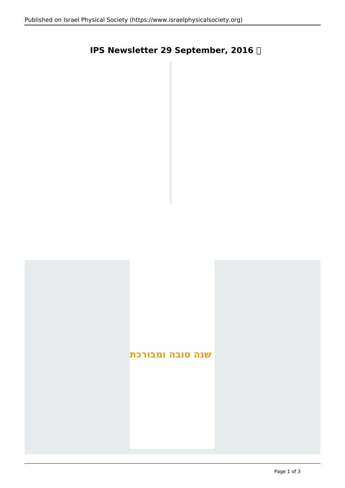# **IPS Newsletter 29 September, 2016**

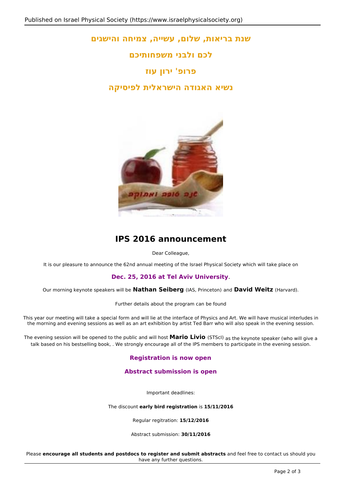# **שנת בריאות, שלום, עשייה, צמיחה והישגים**

**לכם ולבני משפחותיכם**

# **פרופ' ירון עוז**

## **נשיא האגודה הישראלית לפיסיקה**



# **IPS 2016 announcement**

Dear Colleague,

It is our pleasure to announce the 62nd annual meeting of the Israel Physical Society which will take place on

### **Dec. 25, 2016 at Tel Aviv University**.

Our morning keynote speakers will be **Nathan Seiberg** (IAS, Princeton) and **David Weitz** (Harvard).

Further details about the program can be found

This year our meeting will take a special form and will lie at the interface of Physics and Art. We will have musical interludes in the morning and evening sessions as well as an art exhibition by artist Ted Barr who will also speak in the evening session.

The evening session will be opened to the public and will host **Mario Livio** (STScI) as the keynote speaker (who will give a talk based on his bestselling book, . We strongly encourage all of the IPS members to participate in the evening session.

### **Registration is now open**

### **Abstract submission is open**

Important deadlines:

The discount **early bird registration** is **15/11/2016**

Regular regitration: **15/12/2016**

Abstract submission: **30/11/2016**

Please **encourage all students and postdocs to register and submit abstracts** and feel free to contact us should you have any further questions.